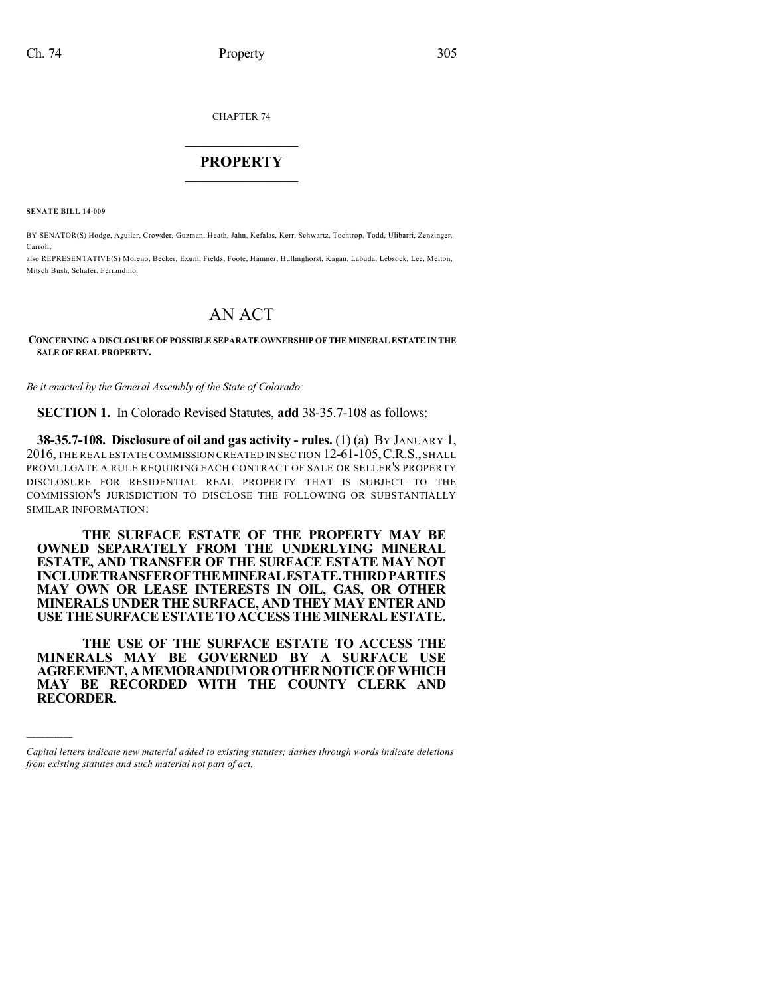CHAPTER 74

# $\overline{\phantom{a}}$  . The set of the set of the set of the set of the set of the set of the set of the set of the set of the set of the set of the set of the set of the set of the set of the set of the set of the set of the set o **PROPERTY**  $\_$   $\_$   $\_$   $\_$   $\_$   $\_$   $\_$   $\_$   $\_$

**SENATE BILL 14-009**

)))))

BY SENATOR(S) Hodge, Aguilar, Crowder, Guzman, Heath, Jahn, Kefalas, Kerr, Schwartz, Tochtrop, Todd, Ulibarri, Zenzinger, Carroll;

also REPRESENTATIVE(S) Moreno, Becker, Exum, Fields, Foote, Hamner, Hullinghorst, Kagan, Labuda, Lebsock, Lee, Melton, Mitsch Bush, Schafer, Ferrandino.

# AN ACT

#### **CONCERNING A DISCLOSURE OF POSSIBLESEPARATEOWNERSHIP OFTHE MINERAL ESTATE IN THE SALE OF REAL PROPERTY.**

*Be it enacted by the General Assembly of the State of Colorado:*

**SECTION 1.** In Colorado Revised Statutes, **add** 38-35.7-108 as follows:

**38-35.7-108. Disclosure of oil and gas activity - rules.** (1) (a) BY JANUARY 1, 2016,THE REAL ESTATE COMMISSION CREATED IN SECTION 12-61-105,C.R.S.,SHALL PROMULGATE A RULE REQUIRING EACH CONTRACT OF SALE OR SELLER'S PROPERTY DISCLOSURE FOR RESIDENTIAL REAL PROPERTY THAT IS SUBJECT TO THE COMMISSION'S JURISDICTION TO DISCLOSE THE FOLLOWING OR SUBSTANTIALLY SIMILAR INFORMATION:

**THE SURFACE ESTATE OF THE PROPERTY MAY BE OWNED SEPARATELY FROM THE UNDERLYING MINERAL ESTATE, AND TRANSFER OF THE SURFACE ESTATE MAY NOT INCLUDETRANSFEROFTHEMINERALESTATE.THIRDPARTIES MAY OWN OR LEASE INTERESTS IN OIL, GAS, OR OTHER MINERALS UNDER THE SURFACE, AND THEY MAY ENTER AND USETHESURFACEESTATETOACCESSTHEMINERALESTATE.**

**THE USE OF THE SURFACE ESTATE TO ACCESS THE MINERALS MAY BE GOVERNED BY A SURFACE USE AGREEMENT, AMEMORANDUMOROTHER NOTICEOFWHICH MAY BE RECORDED WITH THE COUNTY CLERK AND RECORDER.**

*Capital letters indicate new material added to existing statutes; dashes through words indicate deletions from existing statutes and such material not part of act.*